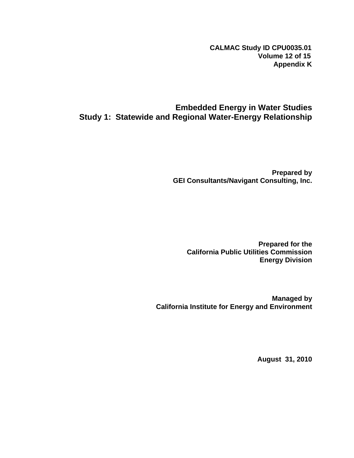**CALMAC Study ID CPU0035.01 Volume 12 of 15 Appendix K**

# **Embedded Energy in Water Studies Study 1: Statewide and Regional Water-Energy Relationship**

**Prepared by GEI Consultants/Navigant Consulting, Inc.** 

**Prepared for the California Public Utilities Commission Energy Division** 

**Managed by California Institute for Energy and Environment** 

**August 31, 2010**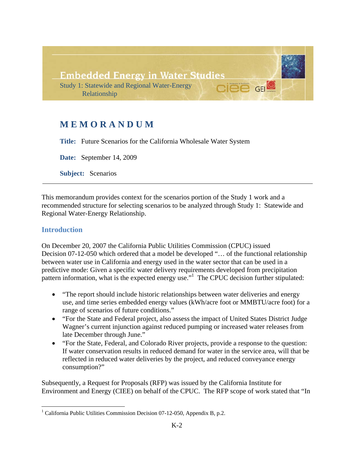

# **MEMORANDUM**

**Title:** Future Scenarios for the California Wholesale Water System

**Date:** September 14, 2009

**Subject:** Scenarios

This memorandum provides context for the scenarios portion of the Study 1 work and a recommended structure for selecting scenarios to be analyzed through Study 1: Statewide and Regional Water-Energy Relationship.

### **Introduction**

On December 20, 2007 the California Public Utilities Commission (CPUC) issued Decision 07-12-050 which ordered that a model be developed "… of the functional relationship between water use in California and energy used in the water sector that can be used in a predictive mode: Given a specific water delivery requirements developed from precipitation pattern information, what is the expected energy use."<sup>1</sup> The CPUC decision further stipulated:

- "The report should include historic relationships between water deliveries and energy use, and time series embedded energy values (kWh/acre foot or MMBTU/acre foot) for a range of scenarios of future conditions."
- "For the State and Federal project, also assess the impact of United States District Judge Wagner's current injunction against reduced pumping or increased water releases from late December through June."
- "For the State, Federal, and Colorado River projects, provide a response to the question: If water conservation results in reduced demand for water in the service area, will that be reflected in reduced water deliveries by the project, and reduced conveyance energy consumption?"

Subsequently, a Request for Proposals (RFP) was issued by the California Institute for Environment and Energy (CIEE) on behalf of the CPUC. The RFP scope of work stated that "In

<sup>&</sup>lt;u>.</u> <sup>1</sup> California Public Utilities Commission Decision 07-12-050, Appendix B, p.2.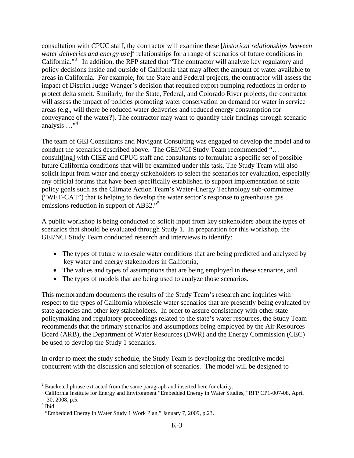consultation with CPUC staff, the contractor will examine these [*historical relationships between*  water deliveries and energy use]<sup>2</sup> relationships for a range of scenarios of future conditions in California."<sup>3</sup> In addition, the RFP stated that "The contractor will analyze key regulatory and policy decisions inside and outside of California that may affect the amount of water available to areas in California. For example, for the State and Federal projects, the contractor will assess the impact of District Judge Wanger's decision that required export pumping reductions in order to protect delta smelt. Similarly, for the State, Federal, and Colorado River projects, the contractor will assess the impact of policies promoting water conservation on demand for water in service areas (e.g., will there be reduced water deliveries and reduced energy consumption for conveyance of the water?). The contractor may want to quantify their findings through scenario analysis  $\ldots$ <sup>4</sup>

The team of GEI Consultants and Navigant Consulting was engaged to develop the model and to conduct the scenarios described above. The GEI/NCI Study Team recommended "… consult[ing] with CIEE and CPUC staff and consultants to formulate a specific set of possible future California conditions that will be examined under this task. The Study Team will also solicit input from water and energy stakeholders to select the scenarios for evaluation, especially any official forums that have been specifically established to support implementation of state policy goals such as the Climate Action Team's Water-Energy Technology sub-committee ("WET-CAT") that is helping to develop the water sector's response to greenhouse gas emissions reduction in support of AB32."<sup>5</sup>

A public workshop is being conducted to solicit input from key stakeholders about the types of scenarios that should be evaluated through Study 1. In preparation for this workshop, the GEI/NCI Study Team conducted research and interviews to identify:

- The types of future wholesale water conditions that are being predicted and analyzed by key water and energy stakeholders in California,
- The values and types of assumptions that are being employed in these scenarios, and
- The types of models that are being used to analyze those scenarios.

This memorandum documents the results of the Study Team's research and inquiries with respect to the types of California wholesale water scenarios that are presently being evaluated by state agencies and other key stakeholders. In order to assure consistency with other state policymaking and regulatory proceedings related to the state's water resources, the Study Team recommends that the primary scenarios and assumptions being employed by the Air Resources Board (ARB), the Department of Water Resources (DWR) and the Energy Commission (CEC) be used to develop the Study 1 scenarios.

In order to meet the study schedule, the Study Team is developing the predictive model concurrent with the discussion and selection of scenarios. The model will be designed to

 $\overline{a}$ <sup>2</sup> Bracketed phrase extracted from the same paragraph and inserted here for clarity.<br><sup>3</sup> Celifornia Institute for Energy and Environment "Embedded Energy in Weter Stud

<sup>&</sup>lt;sup>3</sup> California Institute for Energy and Environment "Embedded Energy in Water Studies, "RFP CP1-007-08, April 30, 2008, p.5. 4

 $4$  Ibid.

<sup>&</sup>lt;sup>5</sup> "Embedded Energy in Water Study 1 Work Plan," January 7, 2009, p.23.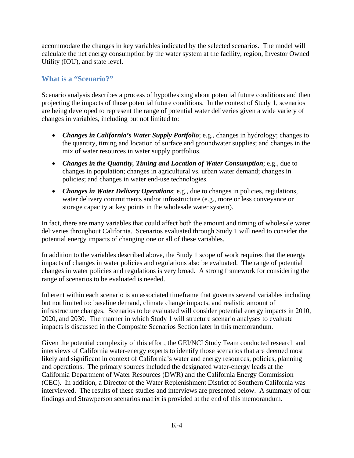accommodate the changes in key variables indicated by the selected scenarios. The model will calculate the net energy consumption by the water system at the facility, region, Investor Owned Utility (IOU), and state level.

# **What is a "Scenario?"**

Scenario analysis describes a process of hypothesizing about potential future conditions and then projecting the impacts of those potential future conditions. In the context of Study 1, scenarios are being developed to represent the range of potential water deliveries given a wide variety of changes in variables, including but not limited to:

- *Changes in California's Water Supply Portfolio*; e.g., changes in hydrology; changes to the quantity, timing and location of surface and groundwater supplies; and changes in the mix of water resources in water supply portfolios.
- *Changes in the Quantity, Timing and Location of Water Consumption*; e.g., due to changes in population; changes in agricultural vs. urban water demand; changes in policies; and changes in water end-use technologies.
- *Changes in Water Delivery Operations*; e.g., due to changes in policies, regulations, water delivery commitments and/or infrastructure (e.g., more or less conveyance or storage capacity at key points in the wholesale water system).

In fact, there are many variables that could affect both the amount and timing of wholesale water deliveries throughout California. Scenarios evaluated through Study 1 will need to consider the potential energy impacts of changing one or all of these variables.

In addition to the variables described above, the Study 1 scope of work requires that the energy impacts of changes in water policies and regulations also be evaluated. The range of potential changes in water policies and regulations is very broad. A strong framework for considering the range of scenarios to be evaluated is needed.

Inherent within each scenario is an associated timeframe that governs several variables including but not limited to: baseline demand, climate change impacts, and realistic amount of infrastructure changes. Scenarios to be evaluated will consider potential energy impacts in 2010, 2020, and 2030. The manner in which Study 1 will structure scenario analyses to evaluate impacts is discussed in the Composite Scenarios Section later in this memorandum.

Given the potential complexity of this effort, the GEI/NCI Study Team conducted research and interviews of California water-energy experts to identify those scenarios that are deemed most likely and significant in context of California's water and energy resources, policies, planning and operations. The primary sources included the designated water-energy leads at the California Department of Water Resources (DWR) and the California Energy Commission (CEC). In addition, a Director of the Water Replenishment District of Southern California was interviewed. The results of these studies and interviews are presented below. A summary of our findings and Strawperson scenarios matrix is provided at the end of this memorandum.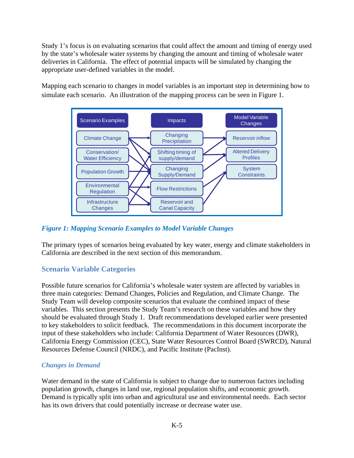Study 1's focus is on evaluating scenarios that could affect the amount and timing of energy used by the state's wholesale water systems by changing the amount and timing of wholesale water deliveries in California. The effect of potential impacts will be simulated by changing the appropriate user-defined variables in the model.

Mapping each scenario to changes in model variables is an important step in determining how to simulate each scenario. An illustration of the mapping process can be seen in Figure 1.



## *Figure 1: Mapping Scenario Examples to Model Variable Changes*

The primary types of scenarios being evaluated by key water, energy and climate stakeholders in California are described in the next section of this memorandum.

# **Scenario Variable Categories**

Possible future scenarios for California's wholesale water system are affected by variables in three main categories: Demand Changes, Policies and Regulation, and Climate Change. The Study Team will develop composite scenarios that evaluate the combined impact of these variables. This section presents the Study Team's research on these variables and how they should be evaluated through Study 1. Draft recommendations developed earlier were presented to key stakeholders to solicit feedback. The recommendations in this document incorporate the input of these stakeholders who include: California Department of Water Resources (DWR), California Energy Commission (CEC), State Water Resources Control Board (SWRCD), Natural Resources Defense Council (NRDC), and Pacific Institute (PacInst).

### *Changes in Demand*

Water demand in the state of California is subject to change due to numerous factors including population growth, changes in land use, regional population shifts, and economic growth. Demand is typically split into urban and agricultural use and environmental needs. Each sector has its own drivers that could potentially increase or decrease water use.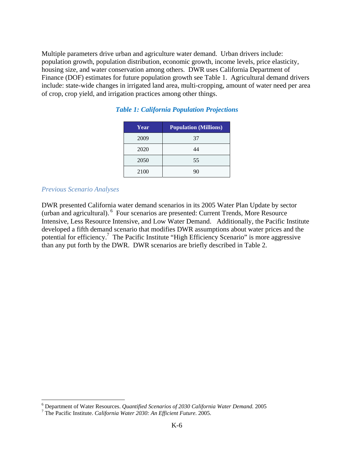Multiple parameters drive urban and agriculture water demand. Urban drivers include: population growth, population distribution, economic growth, income levels, price elasticity, housing size, and water conservation among others. DWR uses California Department of Finance (DOF) estimates for future population growth see Table 1. Agricultural demand drivers include: state-wide changes in irrigated land area, multi-cropping, amount of water need per area of crop, crop yield, and irrigation practices among other things.

| Year | <b>Population (Millions)</b> |
|------|------------------------------|
| 2009 | 37                           |
| 2020 | 44                           |
| 2050 | 55                           |
| 2100 | 90                           |

### *Table 1: California Population Projections*

### *Previous Scenario Analyses*

DWR presented California water demand scenarios in its 2005 Water Plan Update by sector (urban and agricultural). 6 Four scenarios are presented: Current Trends, More Resource Intensive, Less Resource Intensive, and Low Water Demand. Additionally, the Pacific Institute developed a fifth demand scenario that modifies DWR assumptions about water prices and the potential for efficiency.<sup>7</sup> The Pacific Institute "High Efficiency Scenario" is more aggressive than any put forth by the DWR. DWR scenarios are briefly described in Table 2.

<sup>&</sup>lt;sup>6</sup> Department of Water Resources. *Quantified Scenarios of 2030 California Water Demand.* 2005

The Pacific Institute. *California Water 2030: An Efficient Future*. 2005.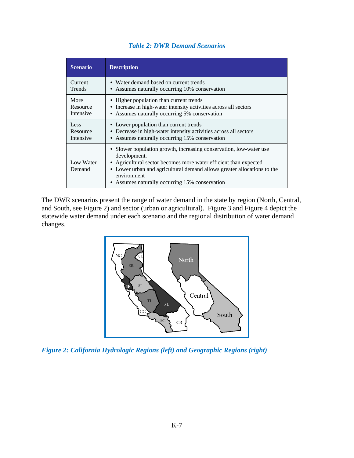|  |  |  | <b>Table 2: DWR Demand Scenarios</b> |
|--|--|--|--------------------------------------|
|--|--|--|--------------------------------------|

| <b>Scenario</b>     | <b>Description</b>                                                                                                                                                                                                                                                                                 |
|---------------------|----------------------------------------------------------------------------------------------------------------------------------------------------------------------------------------------------------------------------------------------------------------------------------------------------|
| Current             | • Water demand based on current trends                                                                                                                                                                                                                                                             |
| <b>Trends</b>       | • Assumes naturally occurring 10% conservation                                                                                                                                                                                                                                                     |
| More                | • Higher population than current trends                                                                                                                                                                                                                                                            |
| Resource            | • Increase in high-water intensity activities across all sectors                                                                                                                                                                                                                                   |
| Intensive           | • Assumes naturally occurring 5% conservation                                                                                                                                                                                                                                                      |
| Less                | • Lower population than current trends                                                                                                                                                                                                                                                             |
| Resource            | • Decrease in high-water intensity activities across all sectors                                                                                                                                                                                                                                   |
| Intensive           | • Assumes naturally occurring 15% conservation                                                                                                                                                                                                                                                     |
| Low Water<br>Demand | • Slower population growth, increasing conservation, low-water use<br>development.<br>• Agricultural sector becomes more water efficient than expected<br>• Lower urban and agricultural demand allows greater allocations to the<br>environment<br>• Assumes naturally occurring 15% conservation |

The DWR scenarios present the range of water demand in the state by region (North, Central, and South, see Figure 2) and sector (urban or agricultural). Figure 3 and Figure 4 depict the statewide water demand under each scenario and the regional distribution of water demand changes.



*Figure 2: California Hydrologic Regions (left) and Geographic Regions (right)*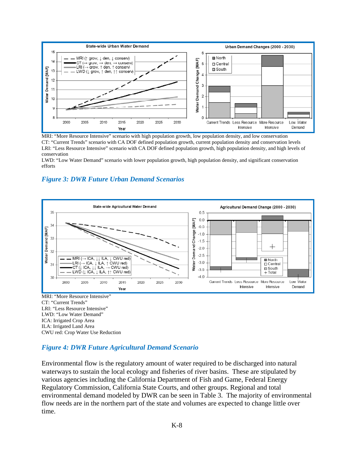

MRI: "More Resource Intensive" scenario with high population growth, low population density, and low conservation CT: "Current Trends" scenario with CA DOF defined population growth, current population density and conservation levels LRI: "Less Resource Intensive" scenario with CA DOF defined population growth, high population density, and high levels of conservation

LWD: "Low Water Demand" scenario with lower population growth, high population density, and significant conservation efforts

### *Figure 3: DWR Future Urban Demand Scenarios*



CWU red: Crop Water Use Reduction

### *Figure 4: DWR Future Agricultural Demand Scenario*

Environmental flow is the regulatory amount of water required to be discharged into natural waterways to sustain the local ecology and fisheries of river basins. These are stipulated by various agencies including the California Department of Fish and Game, Federal Energy Regulatory Commission, California State Courts, and other groups. Regional and total environmental demand modeled by DWR can be seen in Table 3. The majority of environmental flow needs are in the northern part of the state and volumes are expected to change little over time.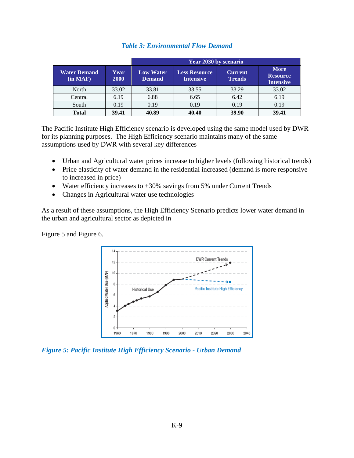|                                         |              | Year 2030 by scenario             |                                          |                                 |                                                    |  |
|-----------------------------------------|--------------|-----------------------------------|------------------------------------------|---------------------------------|----------------------------------------------------|--|
| <b>Water Demand</b><br>(in <b>MAF</b> ) | Year<br>2000 | <b>Low Water</b><br><b>Demand</b> | <b>Less Resource</b><br><b>Intensive</b> | <b>Current</b><br><b>Trends</b> | <b>More</b><br><b>Resource</b><br><b>Intensive</b> |  |
| North                                   | 33.02        | 33.81                             | 33.55                                    | 33.29                           | 33.02                                              |  |
| Central                                 | 6.19         | 6.88                              | 6.65                                     | 6.42                            | 6.19                                               |  |
| South                                   | 0.19         | 0.19                              | 0.19                                     | 0.19                            | 0.19                                               |  |
| <b>Total</b>                            | 39.41        | 40.89                             | 40.40                                    | 39.90                           | 39.41                                              |  |

### *Table 3: Environmental Flow Demand*

The Pacific Institute High Efficiency scenario is developed using the same model used by DWR for its planning purposes. The High Efficiency scenario maintains many of the same assumptions used by DWR with several key differences

- Urban and Agricultural water prices increase to higher levels (following historical trends)
- Price elasticity of water demand in the residential increased (demand is more responsive to increased in price)
- Water efficiency increases to  $+30\%$  savings from 5% under Current Trends
- Changes in Agricultural water use technologies

As a result of these assumptions, the High Efficiency Scenario predicts lower water demand in the urban and agricultural sector as depicted in

Figure 5 and Figure 6.



*Figure 5: Pacific Institute High Efficiency Scenario - Urban Demand*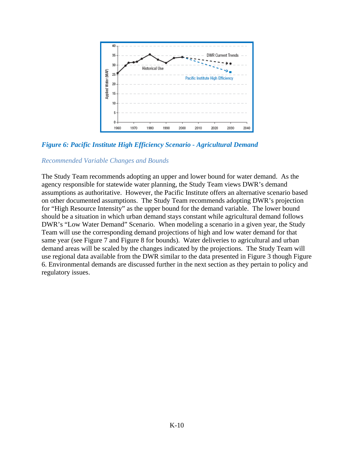

*Figure 6: Pacific Institute High Efficiency Scenario - Agricultural Demand* 

### *Recommended Variable Changes and Bounds*

The Study Team recommends adopting an upper and lower bound for water demand. As the agency responsible for statewide water planning, the Study Team views DWR's demand assumptions as authoritative. However, the Pacific Institute offers an alternative scenario based on other documented assumptions. The Study Team recommends adopting DWR's projection for "High Resource Intensity" as the upper bound for the demand variable. The lower bound should be a situation in which urban demand stays constant while agricultural demand follows DWR's "Low Water Demand" Scenario. When modeling a scenario in a given year, the Study Team will use the corresponding demand projections of high and low water demand for that same year (see Figure 7 and Figure 8 for bounds). Water deliveries to agricultural and urban demand areas will be scaled by the changes indicated by the projections. The Study Team will use regional data available from the DWR similar to the data presented in Figure 3 though Figure 6. Environmental demands are discussed further in the next section as they pertain to policy and regulatory issues.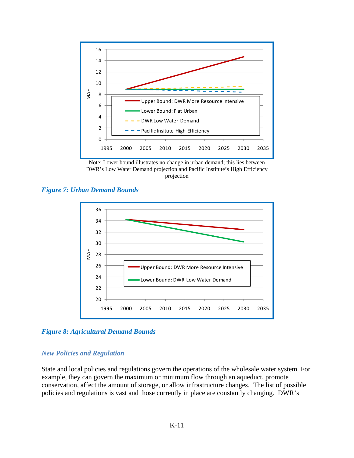

Note: Lower bound illustrates no change in urban demand; this lies between DWR's Low Water Demand projection and Pacific Institute's High Efficiency projection





*Figure 8: Agricultural Demand Bounds* 

### *New Policies and Regulation*

State and local policies and regulations govern the operations of the wholesale water system. For example, they can govern the maximum or minimum flow through an aqueduct, promote conservation, affect the amount of storage, or allow infrastructure changes. The list of possible policies and regulations is vast and those currently in place are constantly changing. DWR's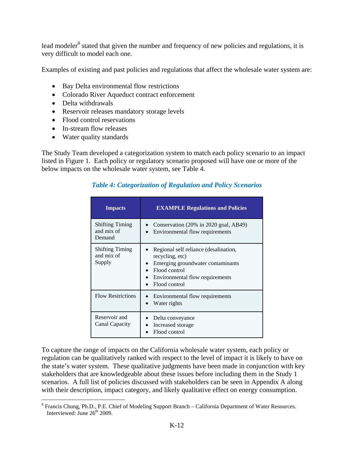lead modeler<sup>8</sup> stated that given the number and frequency of new policies and regulations, it is very difficult to model each one.

Examples of existing and past policies and regulations that affect the wholesale water system are:

- Bay Delta environmental flow restrictions
- Colorado River Aqueduct contract enforcement
- Delta withdrawals

1

- Reservoir releases mandatory storage levels
- Flood control reservations
- In-stream flow releases
- Water quality standards

The Study Team developed a categorization system to match each policy scenario to an impact listed in Figure 1. Each policy or regulatory scenario proposed will have one or more of the below impacts on the wholesale water system, see Table 4.

#### **Impacts EXAMPLE Regulations and Policies**  Shifting Timing and mix of Demand Conservation (20% in 2020 goal, AB49) • Environmental flow requirements Shifting Timing and mix of Supply • Regional self reliance (desalination, recycling, etc) Emerging groundwater contaminants • Flood control • Environmental flow requirements • Flood control Flow Restrictions  $\bullet$  Environmental flow requirements • Water rights Reservoir and Canal Capacity Delta conveyance Increased storage Flood control

### *Table 4: Categorization of Regulation and Policy Scenarios*

To capture the range of impacts on the California wholesale water system, each policy or regulation can be qualitatively ranked with respect to the level of impact it is likely to have on the state's water system. These qualitative judgments have been made in conjunction with key stakeholders that are knowledgeable about these issues before including them in the Study 1 scenarios. A full list of policies discussed with stakeholders can be seen in Appendix A along with their description, impact category, and likely qualitative effect on energy consumption.

<sup>&</sup>lt;sup>8</sup> Francis Chung, Ph.D., P.E. Chief of Modeling Support Branch – California Department of Water Resources. Interviewed: June  $26<sup>th</sup> 2009$ .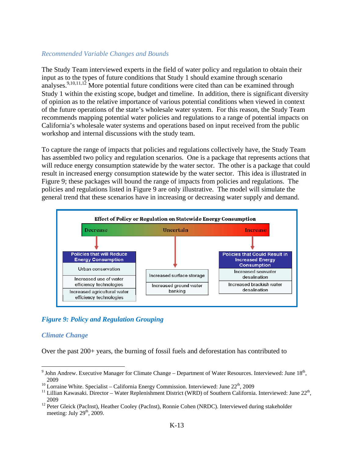### *Recommended Variable Changes and Bounds*

The Study Team interviewed experts in the field of water policy and regulation to obtain their input as to the types of future conditions that Study 1 should examine through scenario analyses.<sup>9,10,11,12</sup> More potential future conditions were cited than can be examined through Study 1 within the existing scope, budget and timeline. In addition, there is significant diversity of opinion as to the relative importance of various potential conditions when viewed in context of the future operations of the state's wholesale water system. For this reason, the Study Team recommends mapping potential water policies and regulations to a range of potential impacts on California's wholesale water systems and operations based on input received from the public workshop and internal discussions with the study team.

To capture the range of impacts that policies and regulations collectively have, the Study Team has assembled two policy and regulation scenarios. One is a package that represents actions that will reduce energy consumption statewide by the water sector. The other is a package that could result in increased energy consumption statewide by the water sector. This idea is illustrated in Figure 9; these packages will bound the range of impacts from policies and regulations. The policies and regulations listed in Figure 9 are only illustrative. The model will simulate the general trend that these scenarios have in increasing or decreasing water supply and demand.



# *Figure 9: Policy and Regulation Grouping*

### *Climate Change*

<u>.</u>

Over the past 200+ years, the burning of fossil fuels and deforestation has contributed to

<sup>&</sup>lt;sup>9</sup> John Andrew. Executive Manager for Climate Change – Department of Water Resources. Interviewed: June  $18<sup>th</sup>$ , 2009<br><sup>10</sup> Lorraine White. Specialist – California Energy Commission. Interviewed: June 22<sup>th</sup>, 2009<br><sup>11</sup> Lillian Kawasaki. Director – Water Replenishment District (WRD) of Southern California. Interviewed: June 22<sup>th</sup>,

<sup>2009 12</sup> Peter Gleick (PacInst), Heather Cooley (PacInst), Ronnie Cohen (NRDC). Interviewed during stakeholder meeting: July  $29<sup>th</sup>$ , 2009.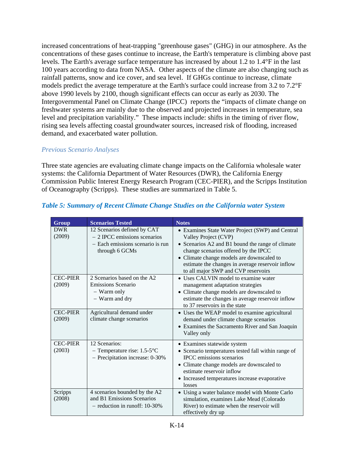increased concentrations of heat-trapping "greenhouse gases" (GHG) in our atmosphere. As the concentrations of these gases continue to increase, the Earth's temperature is climbing above past levels. The Earth's average surface temperature has increased by about 1.2 to 1.4°F in the last 100 years according to data from NASA. Other aspects of the climate are also changing such as rainfall patterns, snow and ice cover, and sea level. If GHGs continue to increase, climate models predict the average temperature at the Earth's surface could increase from 3.2 to 7.2°F above 1990 levels by 2100, though significant effects can occur as early as 2030. The Intergovernmental Panel on Climate Change (IPCC) reports the "impacts of climate change on freshwater systems are mainly due to the observed and projected increases in temperature, sea level and precipitation variability." These impacts include: shifts in the timing of river flow, rising sea levels affecting coastal groundwater sources, increased risk of flooding, increased demand, and exacerbated water pollution.

# *Previous Scenario Analyses*

Three state agencies are evaluating climate change impacts on the California wholesale water systems: the California Department of Water Resources (DWR), the California Energy Commission Public Interest Energy Research Program (CEC-PIER), and the Scripps Institution of Oceanography (Scripps). These studies are summarized in Table 5.

| Group                     | <b>Scenarios Tested</b>                                                                                            | <b>Notes</b>                                                                                                                                                                                                                                                                                                 |
|---------------------------|--------------------------------------------------------------------------------------------------------------------|--------------------------------------------------------------------------------------------------------------------------------------------------------------------------------------------------------------------------------------------------------------------------------------------------------------|
| <b>DWR</b><br>(2009)      | 12 Scenarios defined by CAT<br>$-2$ IPCC emissions scenarios<br>- Each emissions scenario is run<br>through 6 GCMs | • Examines State Water Project (SWP) and Central<br>Valley Project (CVP)<br>• Scenarios A2 and B1 bound the range of climate<br>change scenarios offered by the IPCC<br>• Climate change models are downscaled to<br>estimate the changes in average reservoir inflow<br>to all major SWP and CVP reservoirs |
| <b>CEC-PIER</b><br>(2009) | 2 Scenarios based on the A2<br>Emissions Scenario<br>- Warm only<br>- Warm and dry                                 | • Uses CALVIN model to examine water<br>management adaptation strategies<br>• Climate change models are downscaled to<br>estimate the changes in average reservoir inflow<br>to 37 reservoirs in the state                                                                                                   |
| <b>CEC-PIER</b><br>(2009) | Agricultural demand under<br>climate change scenarios                                                              | • Uses the WEAP model to examine agricultural<br>demand under climate change scenarios<br>• Examines the Sacramento River and San Joaquin<br>Valley only                                                                                                                                                     |
| <b>CEC-PIER</b><br>(2003) | 12 Scenarios:<br>- Temperature rise: $1.5-5$ °C<br>- Precipitation increase: 0-30%                                 | • Examines statewide system<br>• Scenario temperatures tested fall within range of<br><b>IPCC</b> emissions scenarios<br>• Climate change models are downscaled to<br>estimate reservoir inflow<br>• Increased temperatures increase evaporative<br>losses                                                   |
| Scripps<br>(2008)         | 4 scenarios bounded by the A2<br>and B1 Emissions Scenarios<br>$-$ reduction in runoff: 10-30%                     | • Using a water balance model with Monte Carlo<br>simulation, examines Lake Mead (Colorado<br>River) to estimate when the reservoir will<br>effectively dry up                                                                                                                                               |

# *Table 5: Summary of Recent Climate Change Studies on the California water System*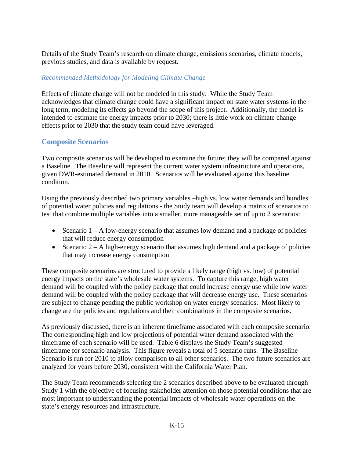Details of the Study Team's research on climate change, emissions scenarios, climate models, previous studies, and data is available by request.

# *Recommended Methodology for Modeling Climate Change*

Effects of climate change will not be modeled in this study. While the Study Team acknowledges that climate change could have a significant impact on state water systems in the long term, modeling its effects go beyond the scope of this project. Additionally, the model is intended to estimate the energy impacts prior to 2030; there is little work on climate change effects prior to 2030 that the study team could have leveraged.

# **Composite Scenarios**

Two composite scenarios will be developed to examine the future; they will be compared against a Baseline. The Baseline will represent the current water system infrastructure and operations, given DWR-estimated demand in 2010. Scenarios will be evaluated against this baseline condition.

Using the previously described two primary variables –high vs. low water demands and bundles of potential water policies and regulations - the Study team will develop a matrix of scenarios to test that combine multiple variables into a smaller, more manageable set of up to 2 scenarios:

- Scenario  $1 A$  low-energy scenario that assumes low demand and a package of policies that will reduce energy consumption
- Scenario  $2 A$  high-energy scenario that assumes high demand and a package of policies that may increase energy consumption

These composite scenarios are structured to provide a likely range (high vs. low) of potential energy impacts on the state's wholesale water systems. To capture this range, high water demand will be coupled with the policy package that could increase energy use while low water demand will be coupled with the policy package that will decrease energy use. These scenarios are subject to change pending the public workshop on water energy scenarios. Most likely to change are the policies and regulations and their combinations in the composite scenarios.

As previously discussed, there is an inherent timeframe associated with each composite scenario. The corresponding high and low projections of potential water demand associated with the timeframe of each scenario will be used. Table 6 displays the Study Team's suggested timeframe for scenario analysis. This figure reveals a total of 5 scenario runs. The Baseline Scenario is run for 2010 to allow comparison to all other scenarios. The two future scenarios are analyzed for years before 2030, consistent with the California Water Plan.

The Study Team recommends selecting the 2 scenarios described above to be evaluated through Study 1 with the objective of focusing stakeholder attention on those potential conditions that are most important to understanding the potential impacts of wholesale water operations on the state's energy resources and infrastructure.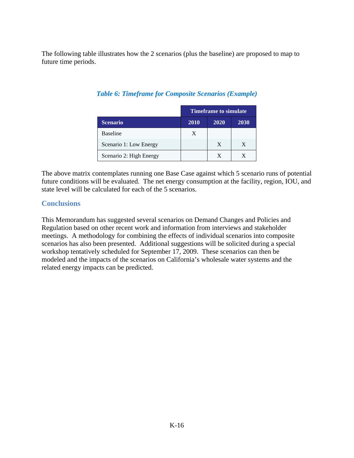The following table illustrates how the 2 scenarios (plus the baseline) are proposed to map to future time periods.

|                         | <b>Timeframe to simulate</b> |      |      |  |
|-------------------------|------------------------------|------|------|--|
| <b>Scenario</b>         | 2010                         | 2020 | 2030 |  |
| <b>Baseline</b>         | X                            |      |      |  |
| Scenario 1: Low Energy  |                              | X    | X    |  |
| Scenario 2: High Energy |                              | X    |      |  |

# *Table 6: Timeframe for Composite Scenarios (Example)*

The above matrix contemplates running one Base Case against which 5 scenario runs of potential future conditions will be evaluated. The net energy consumption at the facility, region, IOU, and state level will be calculated for each of the 5 scenarios.

# **Conclusions**

This Memorandum has suggested several scenarios on Demand Changes and Policies and Regulation based on other recent work and information from interviews and stakeholder meetings. A methodology for combining the effects of individual scenarios into composite scenarios has also been presented. Additional suggestions will be solicited during a special workshop tentatively scheduled for September 17, 2009. These scenarios can then be modeled and the impacts of the scenarios on California's wholesale water systems and the related energy impacts can be predicted.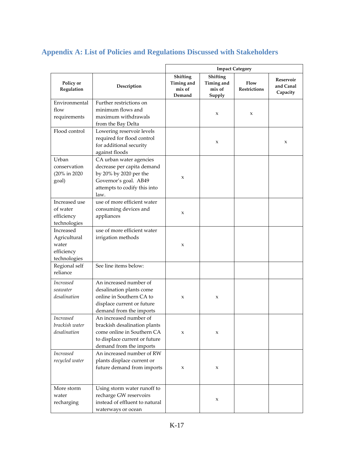# **Appendix A: List of Policies and Regulations Discussed with Stakeholders**

|                                                                  |                                                                                                                                                  | <b>Impact Category</b>                            |                                            |                             |                                    |
|------------------------------------------------------------------|--------------------------------------------------------------------------------------------------------------------------------------------------|---------------------------------------------------|--------------------------------------------|-----------------------------|------------------------------------|
| Policy or<br>Regulation                                          | Description                                                                                                                                      | <b>Shifting</b><br>Timing and<br>mix of<br>Demand | Shifting<br>Timing and<br>mix of<br>Supply | Flow<br><b>Restrictions</b> | Reservoir<br>and Canal<br>Capacity |
| Environmental<br>flow<br>requirements                            | Further restrictions on<br>minimum flows and<br>maximum withdrawals<br>from the Bay Delta                                                        |                                                   | X                                          | $\mathbf x$                 |                                    |
| Flood control                                                    | Lowering reservoir levels<br>required for flood control<br>for additional security<br>against floods                                             |                                                   | X                                          |                             | X                                  |
| Urban<br>conservation<br>(20% in 2020)<br>goal)                  | CA urban water agencies<br>decrease per capita demand<br>by 20% by 2020 per the<br>Governor's goal. AB49<br>attempts to codify this into<br>law. | X                                                 |                                            |                             |                                    |
| Increased use<br>of water<br>efficiency<br>technologies          | use of more efficient water<br>consuming devices and<br>appliances                                                                               | X                                                 |                                            |                             |                                    |
| Increased<br>Agricultural<br>water<br>efficiency<br>technologies | use of more efficient water<br>irrigation methods                                                                                                | $\pmb{\chi}$                                      |                                            |                             |                                    |
| Regional self<br>reliance                                        | See line items below:                                                                                                                            |                                                   |                                            |                             |                                    |
| <i>Increased</i><br>seawater<br>desalination                     | An increased number of<br>desalination plants come<br>online in Southern CA to<br>displace current or future<br>demand from the imports          | $\mathbf{x}$                                      | X                                          |                             |                                    |
| <b>Increased</b><br>brackish water<br>desalination               | An increased number of<br>brackish desalination plants<br>come online in Southern CA<br>to displace current or future<br>demand from the imports | $\pmb{\chi}$                                      | X                                          |                             |                                    |
| <b>Increased</b><br>recycled water                               | An increased number of RW<br>plants displace current or<br>future demand from imports                                                            | $\pmb{\chi}$                                      | X                                          |                             |                                    |
| More storm<br>water<br>recharging                                | Using storm water runoff to<br>recharge GW reservoirs<br>instead of effluent to natural<br>waterways or ocean                                    |                                                   | X                                          |                             |                                    |